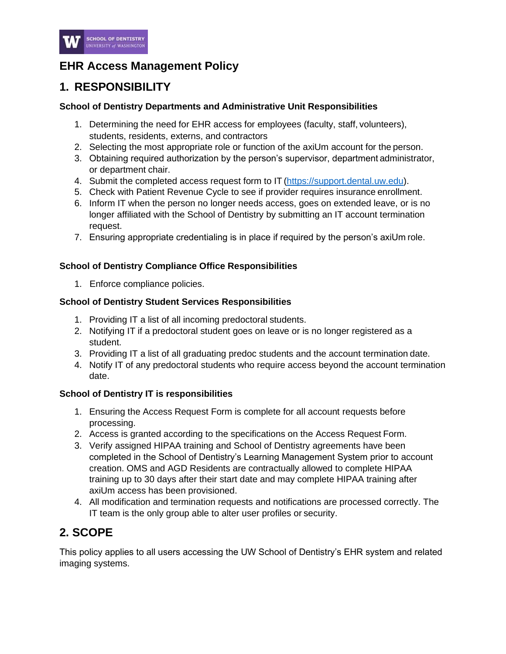

# **EHR Access Management Policy**

# **1. RESPONSIBILITY**

### **School of Dentistry Departments and Administrative Unit Responsibilities**

- 1. Determining the need for EHR access for employees (faculty, staff, volunteers), students, residents, externs, and contractors
- 2. Selecting the most appropriate role or function of the axiUm account for the person.
- 3. Obtaining required authorization by the person's supervisor, department administrator, or department chair.
- 4. Submit the completed access request form to IT [\(https://support.dental.uw.edu\)](https://support.dental.uw.edu/).
- 5. Check with Patient Revenue Cycle to see if provider requires insurance enrollment.
- 6. Inform IT when the person no longer needs access, goes on extended leave, or is no longer affiliated with the School of Dentistry by submitting an IT account termination request.
- 7. Ensuring appropriate credentialing is in place if required by the person's axiUm role.

### **School of Dentistry Compliance Office Responsibilities**

1. Enforce compliance policies.

### **School of Dentistry Student Services Responsibilities**

- 1. Providing IT a list of all incoming predoctoral students.
- 2. Notifying IT if a predoctoral student goes on leave or is no longer registered as a student.
- 3. Providing IT a list of all graduating predoc students and the account termination date.
- 4. Notify IT of any predoctoral students who require access beyond the account termination date.

## **School of Dentistry IT is responsibilities**

- 1. Ensuring the Access Request Form is complete for all account requests before processing.
- 2. Access is granted according to the specifications on the Access Request Form.
- 3. Verify assigned HIPAA training and School of Dentistry agreements have been completed in the School of Dentistry's Learning Management System prior to account creation. OMS and AGD Residents are contractually allowed to complete HIPAA training up to 30 days after their start date and may complete HIPAA training after axiUm access has been provisioned.
- 4. All modification and termination requests and notifications are processed correctly. The IT team is the only group able to alter user profiles or security.

# **2. SCOPE**

This policy applies to all users accessing the UW School of Dentistry's EHR system and related imaging systems.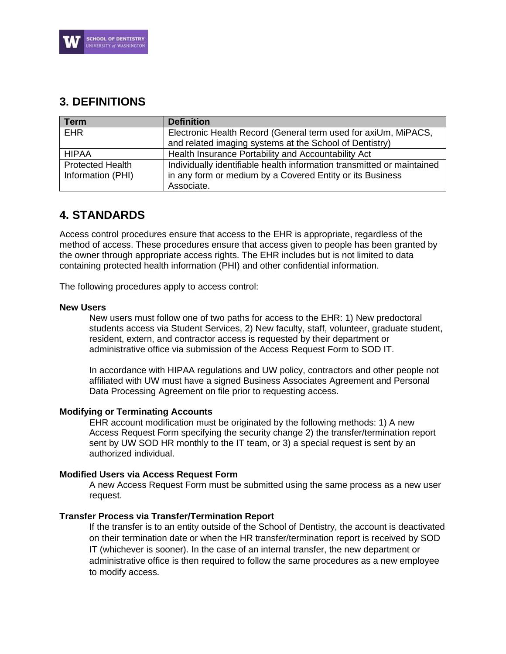

## **3. DEFINITIONS**

| <b>Term</b>                                  | <b>Definition</b>                                                                                                                                 |
|----------------------------------------------|---------------------------------------------------------------------------------------------------------------------------------------------------|
| <b>EHR</b>                                   | Electronic Health Record (General term used for axiUm, MiPACS,<br>and related imaging systems at the School of Dentistry)                         |
| <b>HIPAA</b>                                 | Health Insurance Portability and Accountability Act                                                                                               |
| <b>Protected Health</b><br>Information (PHI) | Individually identifiable health information transmitted or maintained<br>in any form or medium by a Covered Entity or its Business<br>Associate. |

## **4. STANDARDS**

Access control procedures ensure that access to the EHR is appropriate, regardless of the method of access. These procedures ensure that access given to people has been granted by the owner through appropriate access rights. The EHR includes but is not limited to data containing protected health information (PHI) and other confidential information.

The following procedures apply to access control:

#### **New Users**

New users must follow one of two paths for access to the EHR: 1) New predoctoral students access via Student Services, 2) New faculty, staff, volunteer, graduate student, resident, extern, and contractor access is requested by their department or administrative office via submission of the Access Request Form to SOD IT.

In accordance with HIPAA regulations and UW policy, contractors and other people not affiliated with UW must have a signed Business Associates Agreement and Personal Data Processing Agreement on file prior to requesting access.

#### **Modifying or Terminating Accounts**

EHR account modification must be originated by the following methods: 1) A new Access Request Form specifying the security change 2) the transfer/termination report sent by UW SOD HR monthly to the IT team, or 3) a special request is sent by an authorized individual.

#### **Modified Users via Access Request Form**

A new Access Request Form must be submitted using the same process as a new user request.

#### **Transfer Process via Transfer/Termination Report**

If the transfer is to an entity outside of the School of Dentistry, the account is deactivated on their termination date or when the HR transfer/termination report is received by SOD IT (whichever is sooner). In the case of an internal transfer, the new department or administrative office is then required to follow the same procedures as a new employee to modify access.